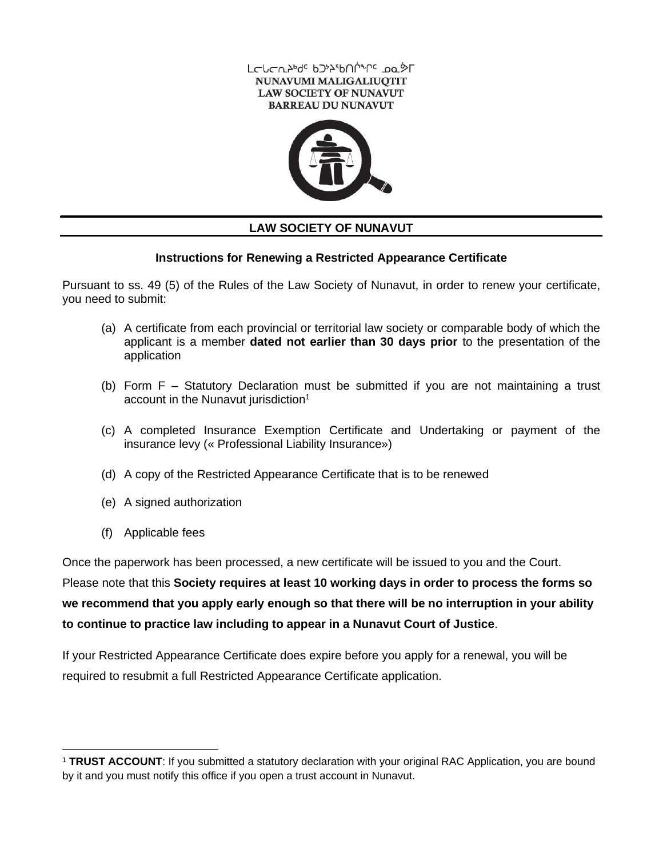



## **LAW SOCIETY OF NUNAVUT**

### **Instructions for Renewing a Restricted Appearance Certificate**

Pursuant to ss. 49 (5) of the Rules of the Law Society of Nunavut, in order to renew your certificate, you need to submit:

- (a) A certificate from each provincial or territorial law society or comparable body of which the applicant is a member **dated not earlier than 30 days prior** to the presentation of the application
- (b) Form F Statutory Declaration must be submitted if you are not maintaining a trust account in the Nunavut jurisdiction<sup>1</sup>
- (c) A completed Insurance Exemption Certificate and Undertaking or payment of the insurance levy (« Professional Liability Insurance»)
- (d) A copy of the Restricted Appearance Certificate that is to be renewed
- (e) A signed authorization
- (f) Applicable fees

Once the paperwork has been processed, a new certificate will be issued to you and the Court.

Please note that this **Society requires at least 10 working days in order to process the forms so we recommend that you apply early enough so that there will be no interruption in your ability to continue to practice law including to appear in a Nunavut Court of Justice**.

If your Restricted Appearance Certificate does expire before you apply for a renewal, you will be required to resubmit a full Restricted Appearance Certificate application.

<sup>1</sup> **TRUST ACCOUNT**: If you submitted a statutory declaration with your original RAC Application, you are bound by it and you must notify this office if you open a trust account in Nunavut.